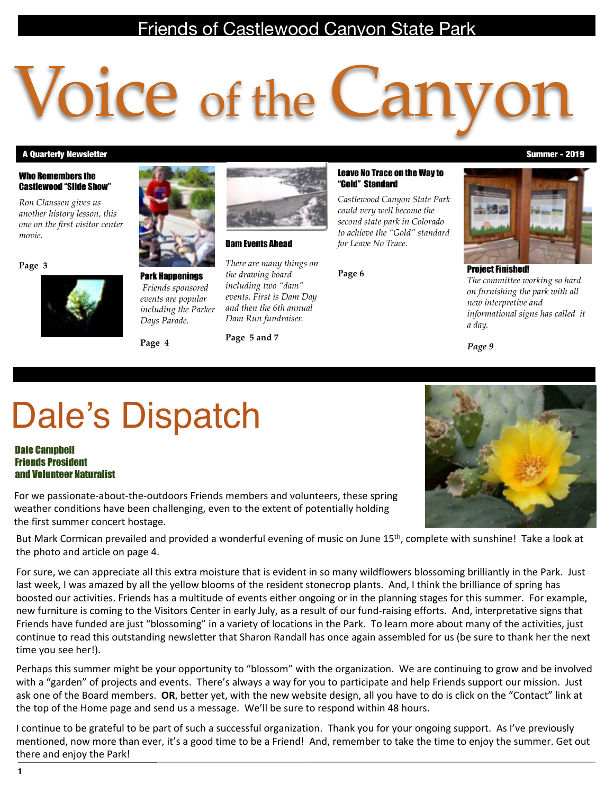### Friends of Castlewood Canyon State Park

# Voice of the Can

#### A Quarterly Newsletter Summer - 2019

#### Who Remembers the Castlewood "Slide Show"

*Ron Claussen gives us another history lesson, this one on the first visitor center movie.*

**Page 3**



Park Happenings  *Friends sponsored events are popular including the Parker Days Parade.*

**Page 4**



Dam Events Ahead

**Page 5 and 7**

*There are many things on the drawing board including two "dam" events. First is Dam Day and then the 6th annual Dam Run fundraiser.*

#### Leave No Trace on the Way to "Gold" Standard

*Castlewood Canyon State Park could very well become the second state park in Colorado to achieve the "Gold" standard for Leave No Trace.*

**Page 6**



Project Finished! *The committee working so hard on furnishing the park with all new interpretive and informational signs has called it a day.*

*Page 9*

# Dale's Dispatch

Dale Campbell Friends President and Volunteer Naturalist

For we passionate-about-the-outdoors Friends members and volunteers, these spring weather conditions have been challenging, even to the extent of potentially holding the first summer concert hostage.

But Mark Cormican prevailed and provided a wonderful evening of music on June  $15<sup>th</sup>$ , complete with sunshine! Take a look at the photo and article on page 4.

For sure, we can appreciate all this extra moisture that is evident in so many wildflowers blossoming brilliantly in the Park. Just last week, I was amazed by all the yellow blooms of the resident stonecrop plants. And, I think the brilliance of spring has boosted our activities. Friends has a multitude of events either ongoing or in the planning stages for this summer. For example, new furniture is coming to the Visitors Center in early July, as a result of our fund-raising efforts. And, interpretative signs that Friends have funded are just "blossoming" in a variety of locations in the Park. To learn more about many of the activities, just continue to read this outstanding newsletter that Sharon Randall has once again assembled for us (be sure to thank her the next time you see her!).

Perhaps this summer might be your opportunity to "blossom" with the organization. We are continuing to grow and be involved with a "garden" of projects and events. There's always a way for you to participate and help Friends support our mission. Just ask one of the Board members. OR, better yet, with the new website design, all you have to do is click on the "Contact" link at the top of the Home page and send us a message. We'll be sure to respond within 48 hours.

I continue to be grateful to be part of such a successful organization. Thank you for your ongoing support. As I've previously mentioned, now more than ever, it's a good time to be a Friend! And, remember to take the time to enjoy the summer. Get out there and enjoy the Park!

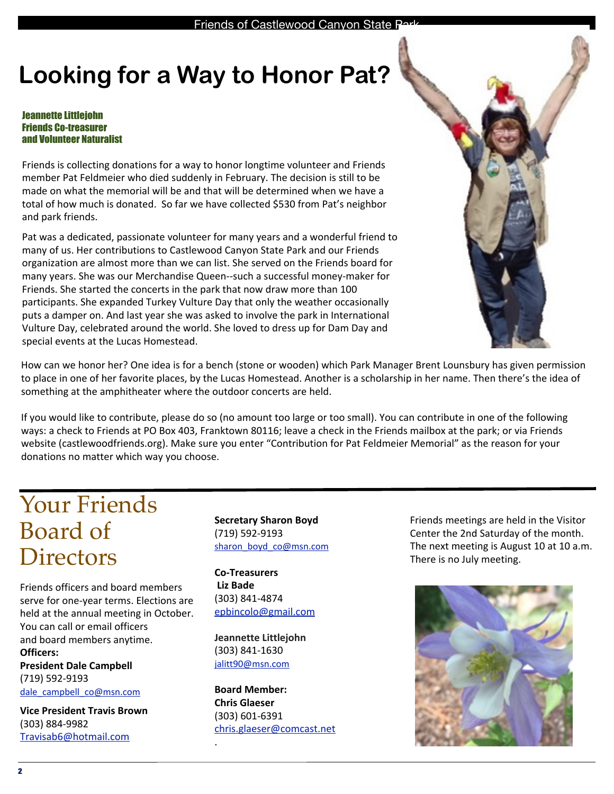### **Looking for a Way to Honor Pat?**

#### Jeannette Littlejohn Friends Co-treasurer and Volunteer Naturalist

Friends is collecting donations for a way to honor longtime volunteer and Friends member Pat Feldmeier who died suddenly in February. The decision is still to be made on what the memorial will be and that will be determined when we have a total of how much is donated. So far we have collected \$530 from Pat's neighbor and park friends.

Pat was a dedicated, passionate volunteer for many years and a wonderful friend to many of us. Her contributions to Castlewood Canyon State Park and our Friends organization are almost more than we can list. She served on the Friends board for many years. She was our Merchandise Queen--such a successful money-maker for Friends. She started the concerts in the park that now draw more than 100 participants. She expanded Turkey Vulture Day that only the weather occasionally puts a damper on. And last year she was asked to involve the park in International Vulture Day, celebrated around the world. She loved to dress up for Dam Day and special events at the Lucas Homestead.

How can we honor her? One idea is for a bench (stone or wooden) which Park Manager Brent Lounsbury has given permission to place in one of her favorite places, by the Lucas Homestead. Another is a scholarship in her name. Then there's the idea of something at the amphitheater where the outdoor concerts are held.

If you would like to contribute, please do so (no amount too large or too small). You can contribute in one of the following ways: a check to Friends at PO Box 403, Franktown 80116; leave a check in the Friends mailbox at the park; or via Friends website (castlewoodfriends.org). Make sure you enter "Contribution for Pat Feldmeier Memorial" as the reason for your donations no matter which way you choose.

### Your Friends Board of **Directors**

Friends officers and board members serve for one-year terms. Elections are held at the annual meeting in October. You can call or email officers and board members anytime. **Officers:**

**President Dale Campbell** (719) 592-9193 [dale\\_campbell\\_co@msn.com](mailto:dale_campbell_co@msn.com)

**Vice President Travis Brown** (303) 884-9982 [Travisab6@hotmail.com](mailto:ebincolo@gmail.com)

**Secretary Sharon Boyd** (719) 592-9193 [sharon\\_boyd\\_co@msn.com](mailto:sharon_boyd_co@msn.com)

**Co-Treasurers Liz Bade** (303) 841-4874 [epbincolo@gmail.com](mailto:bobspowers@yahoo.com)

**Jeannette Littlejohn** (303) 841-1630 [jalitt90@msn.com](mailto:jalitt90@msn.com)

.

**Board Member: Chris Glaeser** (303) 601-6391 [chris.glaeser@comcast.net](mailto:paulaindenver@gmail.com) Friends meetings are held in the Visitor Center the 2nd Saturday of the month. The next meeting is August 10 at 10 a.m. There is no July meeting.

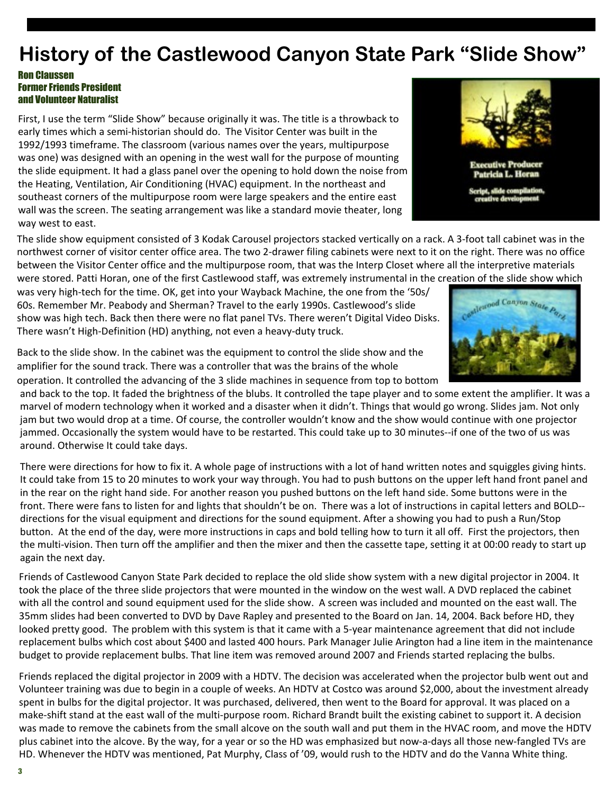### **History of the Castlewood Canyon State Park "Slide Show"**

#### Ron Claussen Former Friends President and Volunteer Naturalist

First, I use the term "Slide Show" because originally it was. The title is a throwback to early times which a semi-historian should do. The Visitor Center was built in the 1992/1993 timeframe. The classroom (various names over the years, multipurpose was one) was designed with an opening in the west wall for the purpose of mounting the slide equipment. It had a glass panel over the opening to hold down the noise from the Heating, Ventilation, Air Conditioning (HVAC) equipment. In the northeast and southeast corners of the multipurpose room were large speakers and the entire east wall was the screen. The seating arrangement was like a standard movie theater, long way west to east.

The slide show equipment consisted of 3 Kodak Carousel projectors stacked vertically on a rack. A 3-foot tall cabinet was in the northwest corner of visitor center office area. The two 2-drawer filing cabinets were next to it on the right. There was no office between the Visitor Center office and the multipurpose room, that was the Interp Closet where all the interpretive materials

were stored. Patti Horan, one of the first Castlewood staff, was extremely instrumental in the creation of the slide show which was very high-tech for the time. OK, get into your Wayback Machine, the one from the '50s/

60s. Remember Mr. Peabody and Sherman? Travel to the early 1990s. Castlewood's slide show was high tech. Back then there were no flat panel TVs. There weren't Digital Video Disks. There wasn't High-Definition (HD) anything, not even a heavy-duty truck.

Back to the slide show. In the cabinet was the equipment to control the slide show and the amplifier for the sound track. There was a controller that was the brains of the whole operation. It controlled the advancing of the 3 slide machines in sequence from top to bottom

and back to the top. It faded the brightness of the blubs. It controlled the tape player and to some extent the amplifier. It was a marvel of modern technology when it worked and a disaster when it didn't. Things that would go wrong. Slides jam. Not only jam but two would drop at a time. Of course, the controller wouldn't know and the show would continue with one projector jammed. Occasionally the system would have to be restarted. This could take up to 30 minutes--if one of the two of us was around. Otherwise It could take days.

There were directions for how to fix it. A whole page of instructions with a lot of hand written notes and squiggles giving hints. It could take from 15 to 20 minutes to work your way through. You had to push buttons on the upper left hand front panel and in the rear on the right hand side. For another reason you pushed buttons on the left hand side. Some buttons were in the front. There were fans to listen for and lights that shouldn't be on. There was a lot of instructions in capital letters and BOLD-directions for the visual equipment and directions for the sound equipment. After a showing you had to push a Run/Stop button. At the end of the day, were more instructions in caps and bold telling how to turn it all off. First the projectors, then the multi-vision. Then turn off the amplifier and then the mixer and then the cassette tape, setting it at 00:00 ready to start up again the next day.

Friends of Castlewood Canyon State Park decided to replace the old slide show system with a new digital projector in 2004. It took the place of the three slide projectors that were mounted in the window on the west wall. A DVD replaced the cabinet with all the control and sound equipment used for the slide show. A screen was included and mounted on the east wall. The 35mm slides had been converted to DVD by Dave Rapley and presented to the Board on Jan. 14, 2004. Back before HD, they looked pretty good. The problem with this system is that it came with a 5-year maintenance agreement that did not include replacement bulbs which cost about \$400 and lasted 400 hours. Park Manager Julie Arington had a line item in the maintenance budget to provide replacement bulbs. That line item was removed around 2007 and Friends started replacing the bulbs.

Friends replaced the digital projector in 2009 with a HDTV. The decision was accelerated when the projector bulb went out and Volunteer training was due to begin in a couple of weeks. An HDTV at Costco was around \$2,000, about the investment already spent in bulbs for the digital projector. It was purchased, delivered, then went to the Board for approval. It was placed on a make-shift stand at the east wall of the multi-purpose room. Richard Brandt built the existing cabinet to support it. A decision was made to remove the cabinets from the small alcove on the south wall and put them in the HVAC room, and move the HDTV plus cabinet into the alcove. By the way, for a year or so the HD was emphasized but now-a-days all those new-fangled TVs are HD. Whenever the HDTV was mentioned, Pat Murphy, Class of '09, would rush to the HDTV and do the Vanna White thing.



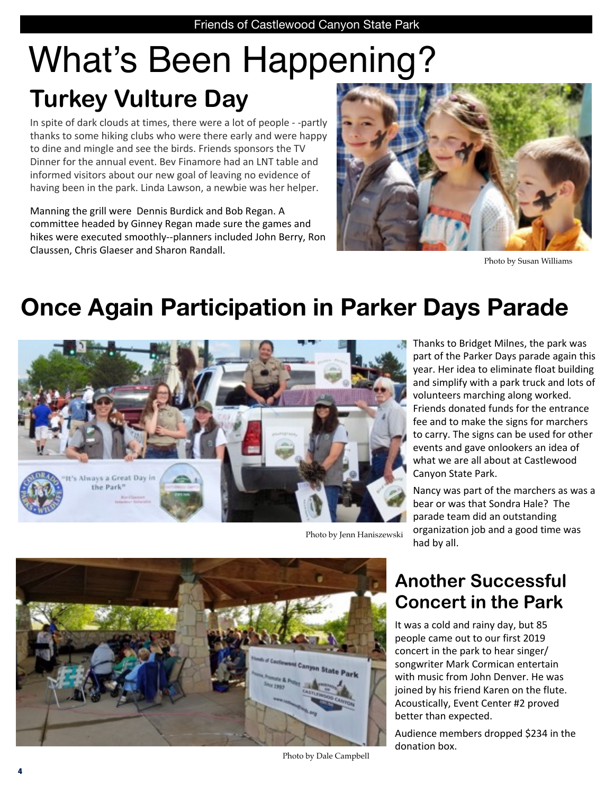# What's Been Happening? **Turkey Vulture Day**

In spite of dark clouds at times, there were a lot of people - -partly thanks to some hiking clubs who were there early and were happy to dine and mingle and see the birds. Friends sponsors the TV Dinner for the annual event. Bev Finamore had an LNT table and informed visitors about our new goal of leaving no evidence of having been in the park. Linda Lawson, a newbie was her helper.

Manning the grill were Dennis Burdick and Bob Regan. A committee headed by Ginney Regan made sure the games and hikes were executed smoothly--planners included John Berry, Ron Claussen, Chris Glaeser and Sharon Randall.



Photo by Susan Williams

### **Once Again Participation in Parker Days Parade**



Thanks to Bridget Milnes, the park was part of the Parker Days parade again this year. Her idea to eliminate float building and simplify with a park truck and lots of volunteers marching along worked. Friends donated funds for the entrance fee and to make the signs for marchers to carry. The signs can be used for other events and gave onlookers an idea of what we are all about at Castlewood Canyon State Park.

Nancy was part of the marchers as was a bear or was that Sondra Hale? The parade team did an outstanding organization job and a good time was had by all.

Photo by Jenn Haniszewski

### **Another Successful Concert in the Park**

It was a cold and rainy day, but 85 people came out to our first 2019 concert in the park to hear singer/ songwriter Mark Cormican entertain with music from John Denver. He was joined by his friend Karen on the flute. Acoustically, Event Center #2 proved better than expected.

Audience members dropped \$234 in the donation box.

Photo by Dale Campbell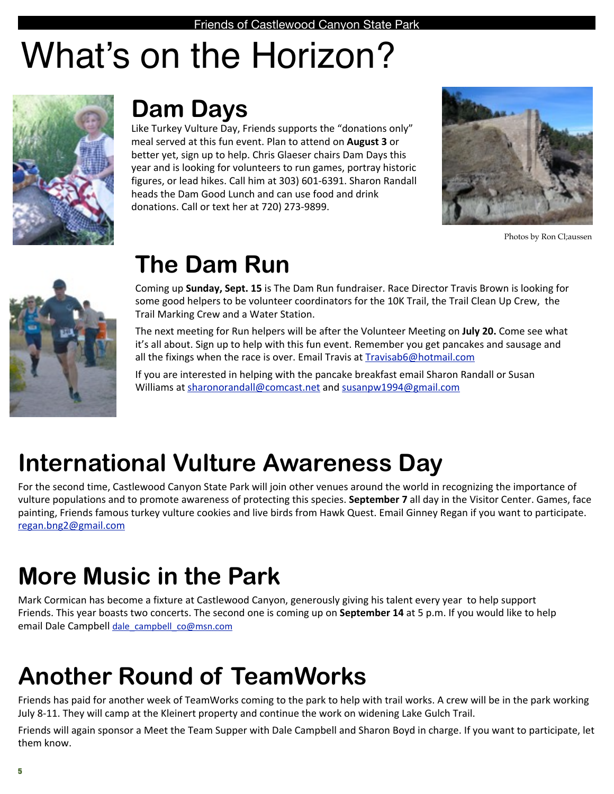# What's on the Horizon?



### **Dam Days**

Like Turkey Vulture Day, Friends supports the "donations only" meal served at this fun event. Plan to attend on **August 3** or better yet, sign up to help. Chris Glaeser chairs Dam Days this year and is looking for volunteers to run games, portray historic figures, or lead hikes. Call him at 303) 601-6391. Sharon Randall heads the Dam Good Lunch and can use food and drink donations. Call or text her at 720) 273-9899.



Photos by Ron Cl;aussen



### **The Dam Run**

Coming up **Sunday, Sept. 15** is The Dam Run fundraiser. Race Director Travis Brown is looking for some good helpers to be volunteer coordinators for the 10K Trail, the Trail Clean Up Crew, the Trail Marking Crew and a Water Station.

The next meeting for Run helpers will be after the Volunteer Meeting on **July 20.** Come see what it's all about. Sign up to help with this fun event. Remember you get pancakes and sausage and all the fixings when the race is over. Email Travis at [Travisab6@hotmail.com](mailto:ebincolo@gmail.com)

If you are interested in helping with the pancake breakfast email Sharon Randall or Susan Williams at sharonorandall@comcast.net and susanpw1994@gmail.com

### **International Vulture Awareness Day**

For the second time, Castlewood Canyon State Park will join other venues around the world in recognizing the importance of vulture populations and to promote awareness of protecting this species. **September 7** all day in the Visitor Center. Games, face painting, Friends famous turkey vulture cookies and live birds from Hawk Quest. Email Ginney Regan if you want to participate. [regan.bng2@gmail.com](mailto:regan.bng2@gmail.com)

### **More Music in the Park**

Mark Cormican has become a fixture at Castlewood Canyon, generously giving his talent every year to help support Friends. This year boasts two concerts. The second one is coming up on **September 14** at 5 p.m. If you would like to help email Dale Campbell dale campbell co@msn.com

### **Another Round of TeamWorks**

Friends has paid for another week of TeamWorks coming to the park to help with trail works. A crew will be in the park working July 8-11. They will camp at the Kleinert property and continue the work on widening Lake Gulch Trail.

Friends will again sponsor a Meet the Team Supper with Dale Campbell and Sharon Boyd in charge. If you want to participate, let them know.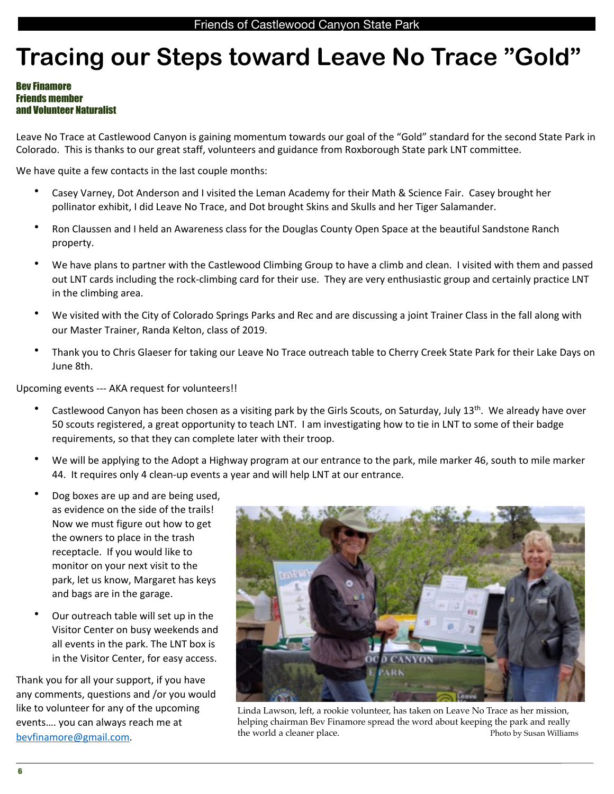### **Tracing our Steps toward Leave No Trace "Gold"**

#### Bev Finamore Friends member and Volunteer Naturalist

Leave No Trace at Castlewood Canyon is gaining momentum towards our goal of the "Gold" standard for the second State Park in Colorado. This is thanks to our great staff, volunteers and guidance from Roxborough State park LNT committee.

We have quite a few contacts in the last couple months:

- Casey Varney, Dot Anderson and I visited the Leman Academy for their Math & Science Fair. Casey brought her pollinator exhibit, I did Leave No Trace, and Dot brought Skins and Skulls and her Tiger Salamander.
- Ron Claussen and I held an Awareness class for the Douglas County Open Space at the beautiful Sandstone Ranch property.
- We have plans to partner with the Castlewood Climbing Group to have a climb and clean. I visited with them and passed out LNT cards including the rock-climbing card for their use. They are very enthusiastic group and certainly practice LNT in the climbing area.
- We visited with the City of Colorado Springs Parks and Rec and are discussing a joint Trainer Class in the fall along with our Master Trainer, Randa Kelton, class of 2019.
- Thank you to Chris Glaeser for taking our Leave No Trace outreach table to Cherry Creek State Park for their Lake Days on June 8th.

Upcoming events --- AKA request for volunteers!!

- Castlewood Canyon has been chosen as a visiting park by the Girls Scouts, on Saturday, July 13<sup>th</sup>. We already have over 50 scouts registered, a great opportunity to teach LNT. I am investigating how to tie in LNT to some of their badge requirements, so that they can complete later with their troop.
- We will be applying to the Adopt a Highway program at our entrance to the park, mile marker 46, south to mile marker 44. It requires only 4 clean-up events a year and will help LNT at our entrance.
- Dog boxes are up and are being used, as evidence on the side of the trails! Now we must figure out how to get the owners to place in the trash receptacle. If you would like to monitor on your next visit to the park, let us know, Margaret has keys and bags are in the garage.
- Our outreach table will set up in the Visitor Center on busy weekends and all events in the park. The LNT box is in the Visitor Center, for easy access.

Thank you for all your support, if you have any comments, questions and /or you would like to volunteer for any of the upcoming events.... you can always reach me at [bevfinamore@gmail.com.](mailto:bevfinamore@gmail.com) 



Linda Lawson, left, a rookie volunteer, has taken on Leave No Trace as her mission, helping chairman Bev Finamore spread the word about keeping the park and really the world a cleaner place.  $\blacksquare$  Photo by Susan Williams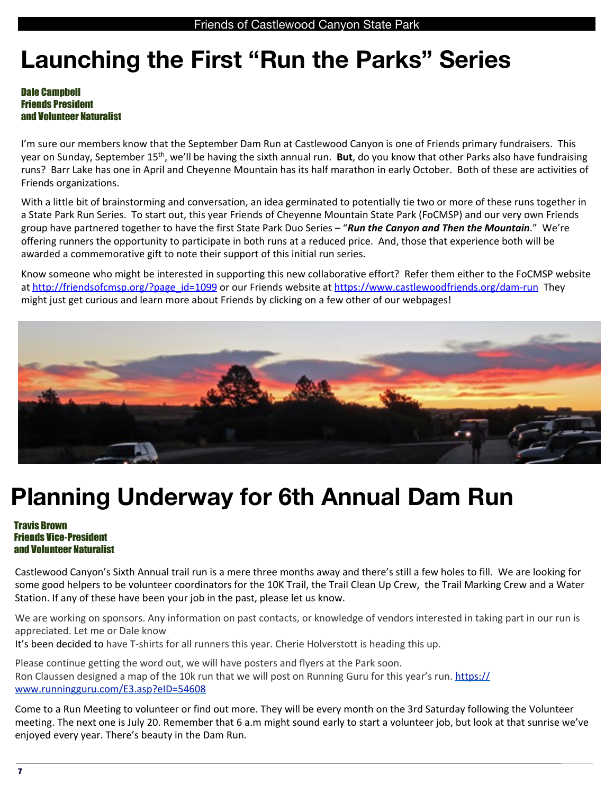### **Launching the First "Run the Parks" Series**

#### Dale Campbell Friends President and Volunteer Naturalist

I'm sure our members know that the September Dam Run at Castlewood Canyon is one of Friends primary fundraisers. This year on Sunday, September 15<sup>th</sup>, we'll be having the sixth annual run. But, do you know that other Parks also have fundraising runs? Barr Lake has one in April and Cheyenne Mountain has its half marathon in early October. Both of these are activities of Friends organizations.

With a little bit of brainstorming and conversation, an idea germinated to potentially tie two or more of these runs together in a State Park Run Series. To start out, this year Friends of Cheyenne Mountain State Park (FoCMSP) and our very own Friends group have partnered together to have the first State Park Duo Series – "**Run the Canyon and Then the Mountain**." We're offering runners the opportunity to participate in both runs at a reduced price. And, those that experience both will be awarded a commemorative gift to note their support of this initial run series.

Know someone who might be interested in supporting this new collaborative effort? Refer them either to the FoCMSP website at http://friendsofcmsp.org/?page\_id=1099 or our Friends website at https://www.castlewoodfriends.org/dam-run They might just get curious and learn more about Friends by clicking on a few other of our webpages!



### **Planning Underway for 6th Annual Dam Run**

#### Travis Brown Friends Vice-President and Volunteer Naturalist

Castlewood Canyon's Sixth Annual trail run is a mere three months away and there's still a few holes to fill. We are looking for some good helpers to be volunteer coordinators for the 10K Trail, the Trail Clean Up Crew, the Trail Marking Crew and a Water Station. If any of these have been your job in the past, please let us know.

We are working on sponsors. Any information on past contacts, or knowledge of vendors interested in taking part in our run is appreciated. Let me or Dale know

It's been decided to have T-shirts for all runners this year. Cherie Holverstott is heading this up.

Please continue getting the word out, we will have posters and flyers at the Park soon. Ron Claussen designed a map of the 10k run that we will post on Running Guru for this year's run. https:// [www.runningguru.com/E3.asp?eID=54608](https://www.runningguru.com/E3.asp?eID=54608)  

Come to a Run Meeting to volunteer or find out more. They will be every month on the 3rd Saturday following the Volunteer meeting. The next one is July 20. Remember that 6 a.m might sound early to start a volunteer job, but look at that sunrise we've enjoyed every year. There's beauty in the Dam Run.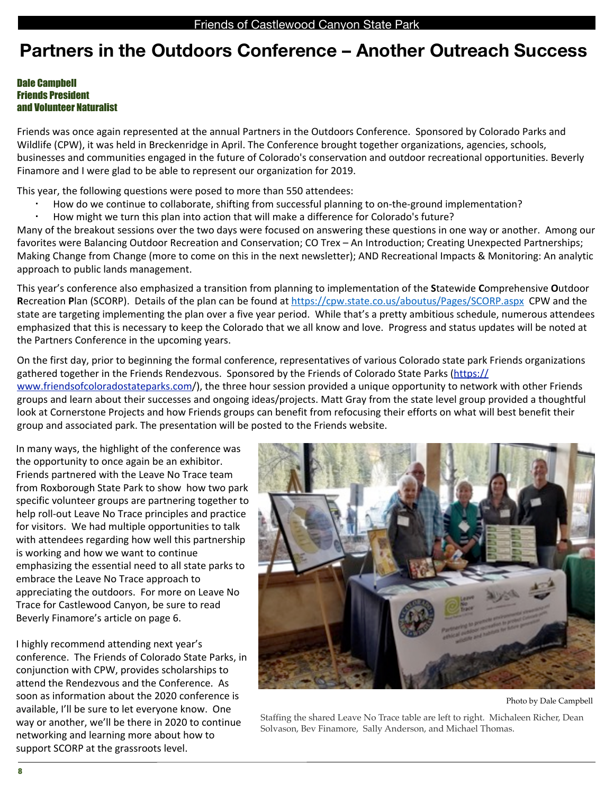### **Partners in the Outdoors Conference – Another Outreach Success**

#### Dale Campbell Friends President and Volunteer Naturalist

Friends was once again represented at the annual Partners in the Outdoors Conference. Sponsored by Colorado Parks and Wildlife (CPW), it was held in Breckenridge in April. The Conference brought together organizations, agencies, schools, businesses and communities engaged in the future of Colorado's conservation and outdoor recreational opportunities. Beverly Finamore and I were glad to be able to represent our organization for 2019.

This year, the following questions were posed to more than 550 attendees:

- How do we continue to collaborate, shifting from successful planning to on-the-ground implementation?
- How might we turn this plan into action that will make a difference for Colorado's future?

Many of the breakout sessions over the two days were focused on answering these questions in one way or another. Among our favorites were Balancing Outdoor Recreation and Conservation; CO Trex - An Introduction; Creating Unexpected Partnerships; Making Change from Change (more to come on this in the next newsletter); AND Recreational Impacts & Monitoring: An analytic approach to public lands management.

This year's conference also emphasized a transition from planning to implementation of the Statewide Comprehensive Outdoor **Recreation Plan (SCORP).** Details of the plan can be found at https://cpw.state.co.us/aboutus/Pages/SCORP.aspx CPW and the state are targeting implementing the plan over a five year period. While that's a pretty ambitious schedule, numerous attendees emphasized that this is necessary to keep the Colorado that we all know and love. Progress and status updates will be noted at the Partners Conference in the upcoming years.

On the first day, prior to beginning the formal conference, representatives of various Colorado state park Friends organizations gathered together in the Friends Rendezvous. Sponsored by the Friends of Colorado State Parks [\(https://](https://www.friendsofcoloradostateparks.com) [www.friendsofcoloradostateparks.com/](https://www.friendsofcoloradostateparks.com)), the three hour session provided a unique opportunity to network with other Friends groups and learn about their successes and ongoing ideas/projects. Matt Gray from the state level group provided a thoughtful look at Cornerstone Projects and how Friends groups can benefit from refocusing their efforts on what will best benefit their group and associated park. The presentation will be posted to the Friends website.

In many ways, the highlight of the conference was the opportunity to once again be an exhibitor. Friends partnered with the Leave No Trace team from Roxborough State Park to show how two park specific volunteer groups are partnering together to help roll-out Leave No Trace principles and practice for visitors. We had multiple opportunities to talk with attendees regarding how well this partnership is working and how we want to continue emphasizing the essential need to all state parks to embrace the Leave No Trace approach to appreciating the outdoors. For more on Leave No Trace for Castlewood Canyon, be sure to read Beverly Finamore's article on page 6.

I highly recommend attending next year's conference. The Friends of Colorado State Parks, in conjunction with CPW, provides scholarships to attend the Rendezvous and the Conference. As soon as information about the 2020 conference is available. I'll be sure to let everyone know. One way or another, we'll be there in 2020 to continue networking and learning more about how to support SCORP at the grassroots level.



Photo by Dale Campbell

Staffing the shared Leave No Trace table are left to right. Michaleen Richer, Dean Solvason, Bev Finamore, Sally Anderson, and Michael Thomas.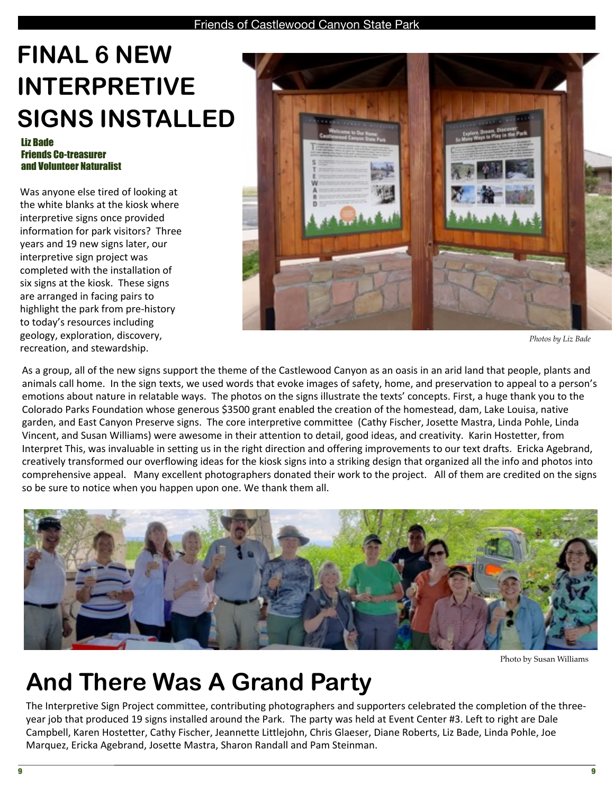### **FINAL 6 NEW INTERPRETIVE SIGNS INSTALLED**

#### Liz Bade Friends Co-treasurer and Volunteer Naturalist

Was anyone else tired of looking at the white blanks at the kiosk where interpretive signs once provided information for park visitors? Three years and 19 new signs later, our interpretive sign project was completed with the installation of six signs at the kiosk. These signs are arranged in facing pairs to highlight the park from pre-history to today's resources including geology, exploration, discovery, recreation, and stewardship.



*Photos by Liz Bade*

As a group, all of the new signs support the theme of the Castlewood Canyon as an oasis in an arid land that people, plants and animals call home. In the sign texts, we used words that evoke images of safety, home, and preservation to appeal to a person's emotions about nature in relatable ways. The photos on the signs illustrate the texts' concepts. First, a huge thank you to the Colorado Parks Foundation whose generous \$3500 grant enabled the creation of the homestead, dam, Lake Louisa, native garden, and East Canyon Preserve signs. The core interpretive committee (Cathy Fischer, Josette Mastra, Linda Pohle, Linda Vincent, and Susan Williams) were awesome in their attention to detail, good ideas, and creativity. Karin Hostetter, from Interpret This, was invaluable in setting us in the right direction and offering improvements to our text drafts. Ericka Agebrand, creatively transformed our overflowing ideas for the kiosk signs into a striking design that organized all the info and photos into comprehensive appeal. Many excellent photographers donated their work to the project. All of them are credited on the signs so be sure to notice when you happen upon one. We thank them all.



Photo by Susan Williams

### **And There Was A Grand Party**

The Interpretive Sign Project committee, contributing photographers and supporters celebrated the completion of the threeyear job that produced 19 signs installed around the Park. The party was held at Event Center #3. Left to right are Dale Campbell, Karen Hostetter, Cathy Fischer, Jeannette Littlejohn, Chris Glaeser, Diane Roberts, Liz Bade, Linda Pohle, Joe Marquez, Ericka Agebrand, Josette Mastra, Sharon Randall and Pam Steinman.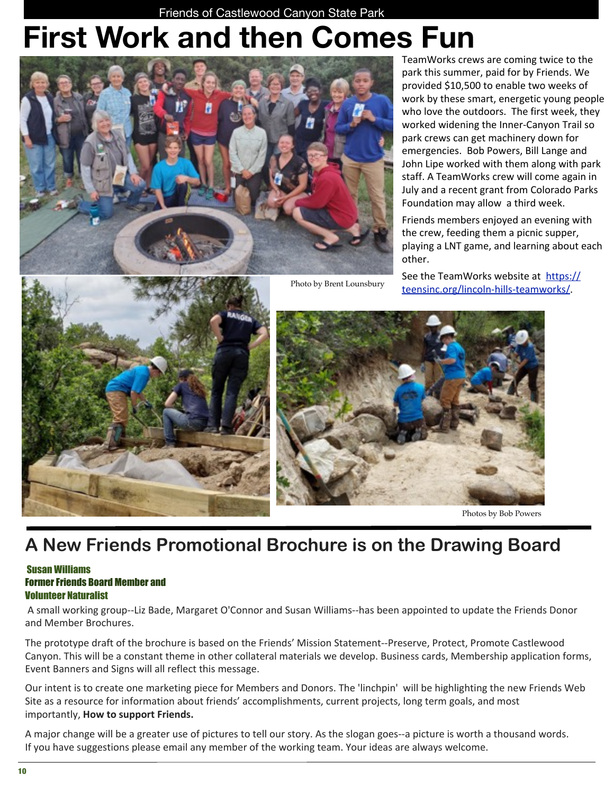Friends of Castlewood Canyon State Park

## **First Work and then Comes Fun**



TeamWorks crews are coming twice to the park this summer, paid for by Friends. We provided \$10,500 to enable two weeks of work by these smart, energetic young people who love the outdoors. The first week, they worked widening the Inner-Canyon Trail so park crews can get machinery down for emergencies. Bob Powers, Bill Lange and John Lipe worked with them along with park staff. A TeamWorks crew will come again in July and a recent grant from Colorado Parks Foundation may allow a third week.

Friends members enjoyed an evening with the crew, feeding them a picnic supper, playing a LNT game, and learning about each other.

See the TeamWorks website at https:// [teensinc.org/lincoln-hills-teamworks/.](https://teensinc.org/lincoln-hills-teamworks/)





Photos by Bob Powers

### **A New Friends Promotional Brochure is on the Drawing Board**

Photo by Brent Lounsbury

#### Susan Williams Former Friends Board Member and Volunteer Naturalist

A small working group--Liz Bade, Margaret O'Connor and Susan Williams--has been appointed to update the Friends Donor and Member Brochures.

The prototype draft of the brochure is based on the Friends' Mission Statement--Preserve, Protect, Promote Castlewood Canyon. This will be a constant theme in other collateral materials we develop. Business cards, Membership application forms, Event Banners and Signs will all reflect this message.

Our intent is to create one marketing piece for Members and Donors. The 'linchpin' will be highlighting the new Friends Web Site as a resource for information about friends' accomplishments, current projects, long term goals, and most importantly, **How to support Friends.** 

A major change will be a greater use of pictures to tell our story. As the slogan goes--a picture is worth a thousand words. If you have suggestions please email any member of the working team. Your ideas are always welcome.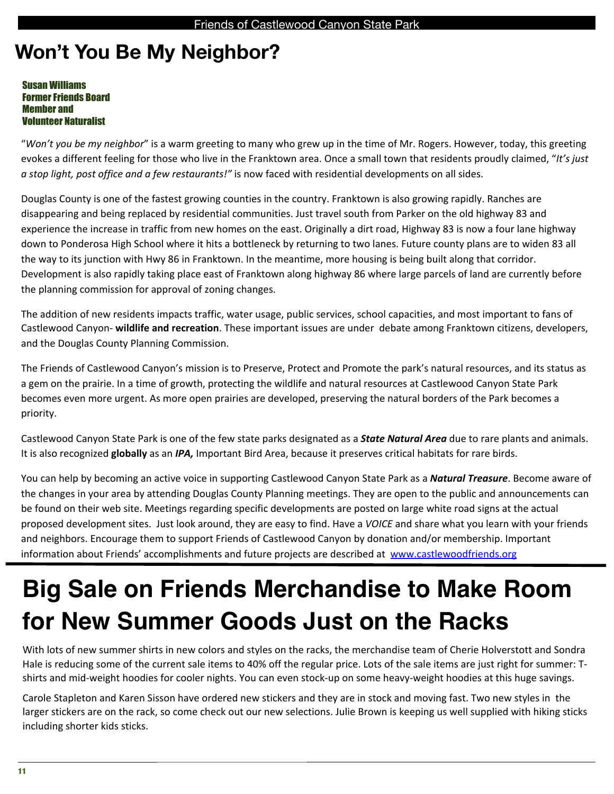### **Won't You Be My Neighbor?**

Susan Williams Former Friends Board Member and Volunteer Naturalist

"Won't you be my neighbor" is a warm greeting to many who grew up in the time of Mr. Rogers. However, today, this greeting evokes a different feeling for those who live in the Franktown area. Once a small town that residents proudly claimed, "It's just *a* stop light, post office and a few restaurants!" is now faced with residential developments on all sides.

Douglas County is one of the fastest growing counties in the country. Franktown is also growing rapidly. Ranches are disappearing and being replaced by residential communities. Just travel south from Parker on the old highway 83 and experience the increase in traffic from new homes on the east. Originally a dirt road, Highway 83 is now a four lane highway down to Ponderosa High School where it hits a bottleneck by returning to two lanes. Future county plans are to widen 83 all the way to its junction with Hwy 86 in Franktown. In the meantime, more housing is being built along that corridor. Development is also rapidly taking place east of Franktown along highway 86 where large parcels of land are currently before the planning commission for approval of zoning changes.

The addition of new residents impacts traffic, water usage, public services, school capacities, and most important to fans of Castlewood Canyon- wildlife and recreation. These important issues are under debate among Franktown citizens, developers, and the Douglas County Planning Commission.

The Friends of Castlewood Canyon's mission is to Preserve, Protect and Promote the park's natural resources, and its status as a gem on the prairie. In a time of growth, protecting the wildlife and natural resources at Castlewood Canyon State Park becomes even more urgent. As more open prairies are developed, preserving the natural borders of the Park becomes a priority.

Castlewood Canyon State Park is one of the few state parks designated as a **State Natural Area** due to rare plants and animals. It is also recognized **globally** as an *IPA*, Important Bird Area, because it preserves critical habitats for rare birds.

You can help by becoming an active voice in supporting Castlewood Canyon State Park as a **Natural Treasure**. Become aware of the changes in your area by attending Douglas County Planning meetings. They are open to the public and announcements can be found on their web site. Meetings regarding specific developments are posted on large white road signs at the actual proposed development sites. Just look around, they are easy to find. Have a *VOICE* and share what you learn with your friends and neighbors. Encourage them to support Friends of Castlewood Canyon by donation and/or membership. Important information about Friends' accomplishments and future projects are described at www.castlewoodfriends.org

### **Big Sale on Friends Merchandise to Make Room for New Summer Goods Just on the Racks**

With lots of new summer shirts in new colors and styles on the racks, the merchandise team of Cherie Holverstott and Sondra Hale is reducing some of the current sale items to 40% off the regular price. Lots of the sale items are just right for summer: Tshirts and mid-weight hoodies for cooler nights. You can even stock-up on some heavy-weight hoodies at this huge savings.

Carole Stapleton and Karen Sisson have ordered new stickers and they are in stock and moving fast. Two new styles in the larger stickers are on the rack, so come check out our new selections. Julie Brown is keeping us well supplied with hiking sticks including shorter kids sticks.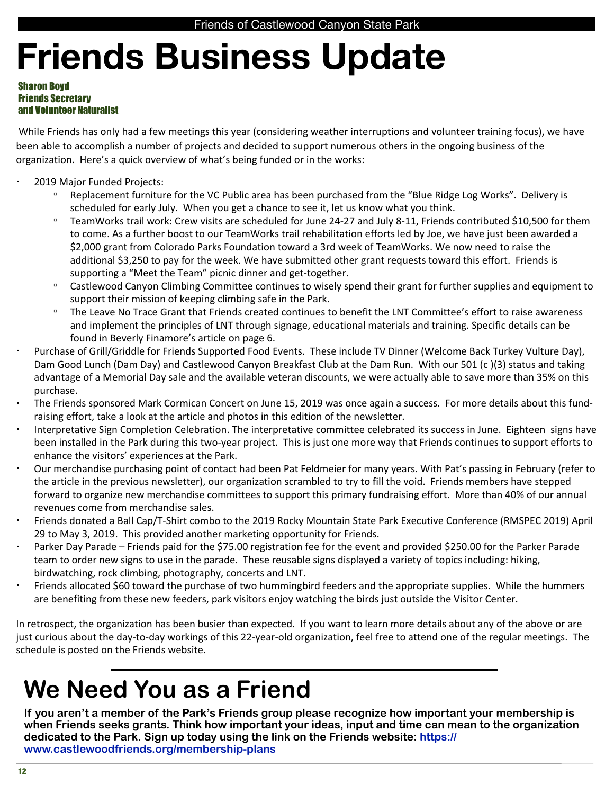# **Friends Business Update**

#### Sharon Boyd Friends Secretary and Volunteer Naturalist

While Friends has only had a few meetings this year (considering weather interruptions and volunteer training focus), we have been able to accomplish a number of projects and decided to support numerous others in the ongoing business of the organization. Here's a quick overview of what's being funded or in the works:

- 2019 Major Funded Projects:
	- □ Replacement furniture for the VC Public area has been purchased from the "Blue Ridge Log Works". Delivery is scheduled for early July. When you get a chance to see it, let us know what you think.
	- □ TeamWorks trail work: Crew visits are scheduled for June 24-27 and July 8-11, Friends contributed \$10,500 for them to come. As a further boost to our TeamWorks trail rehabilitation efforts led by Joe, we have just been awarded a \$2,000 grant from Colorado Parks Foundation toward a 3rd week of TeamWorks. We now need to raise the additional \$3,250 to pay for the week. We have submitted other grant requests toward this effort. Friends is supporting a "Meet the Team" picnic dinner and get-together.
	- □ Castlewood Canyon Climbing Committee continues to wisely spend their grant for further supplies and equipment to support their mission of keeping climbing safe in the Park.
	- □ The Leave No Trace Grant that Friends created continues to benefit the LNT Committee's effort to raise awareness and implement the principles of LNT through signage, educational materials and training. Specific details can be found in Beverly Finamore's article on page 6.
- Purchase of Grill/Griddle for Friends Supported Food Events. These include TV Dinner (Welcome Back Turkey Vulture Day), Dam Good Lunch (Dam Day) and Castlewood Canyon Breakfast Club at the Dam Run. With our 501 (c)(3) status and taking advantage of a Memorial Day sale and the available veteran discounts, we were actually able to save more than 35% on this purchase.
- The Friends sponsored Mark Cormican Concert on June 15, 2019 was once again a success. For more details about this fundraising effort, take a look at the article and photos in this edition of the newsletter.
- Interpretative Sign Completion Celebration. The interpretative committee celebrated its success in June. Eighteen signs have been installed in the Park during this two-year project. This is just one more way that Friends continues to support efforts to enhance the visitors' experiences at the Park.
- Our merchandise purchasing point of contact had been Pat Feldmeier for many years. With Pat's passing in February (refer to the article in the previous newsletter), our organization scrambled to try to fill the void. Friends members have stepped forward to organize new merchandise committees to support this primary fundraising effort. More than 40% of our annual revenues come from merchandise sales.
- Friends donated a Ball Cap/T-Shirt combo to the 2019 Rocky Mountain State Park Executive Conference (RMSPEC 2019) April 29 to May 3, 2019. This provided another marketing opportunity for Friends.
- Parker Day Parade Friends paid for the \$75.00 registration fee for the event and provided \$250.00 for the Parker Parade team to order new signs to use in the parade. These reusable signs displayed a variety of topics including: hiking, birdwatching, rock climbing, photography, concerts and LNT.
- Friends allocated \$60 toward the purchase of two hummingbird feeders and the appropriate supplies. While the hummers are benefiting from these new feeders, park visitors enjoy watching the birds just outside the Visitor Center.

In retrospect, the organization has been busier than expected. If you want to learn more details about any of the above or are just curious about the day-to-day workings of this 22-year-old organization, feel free to attend one of the regular meetings. The schedule is posted on the Friends website.

### **We Need You as a Friend**

**If you aren't a member of the Park's Friends group please recognize how important your membership is when Friends seeks grants. Think how important your ideas, input and time can mean to the organization dedicated to the Park. Sign up today using the link on the Friends website: [https://](https://www.castlewoodfriends.org/membership-plans) [www.castlewoodfriends.org/membership-plans](https://www.castlewoodfriends.org/membership-plans)**